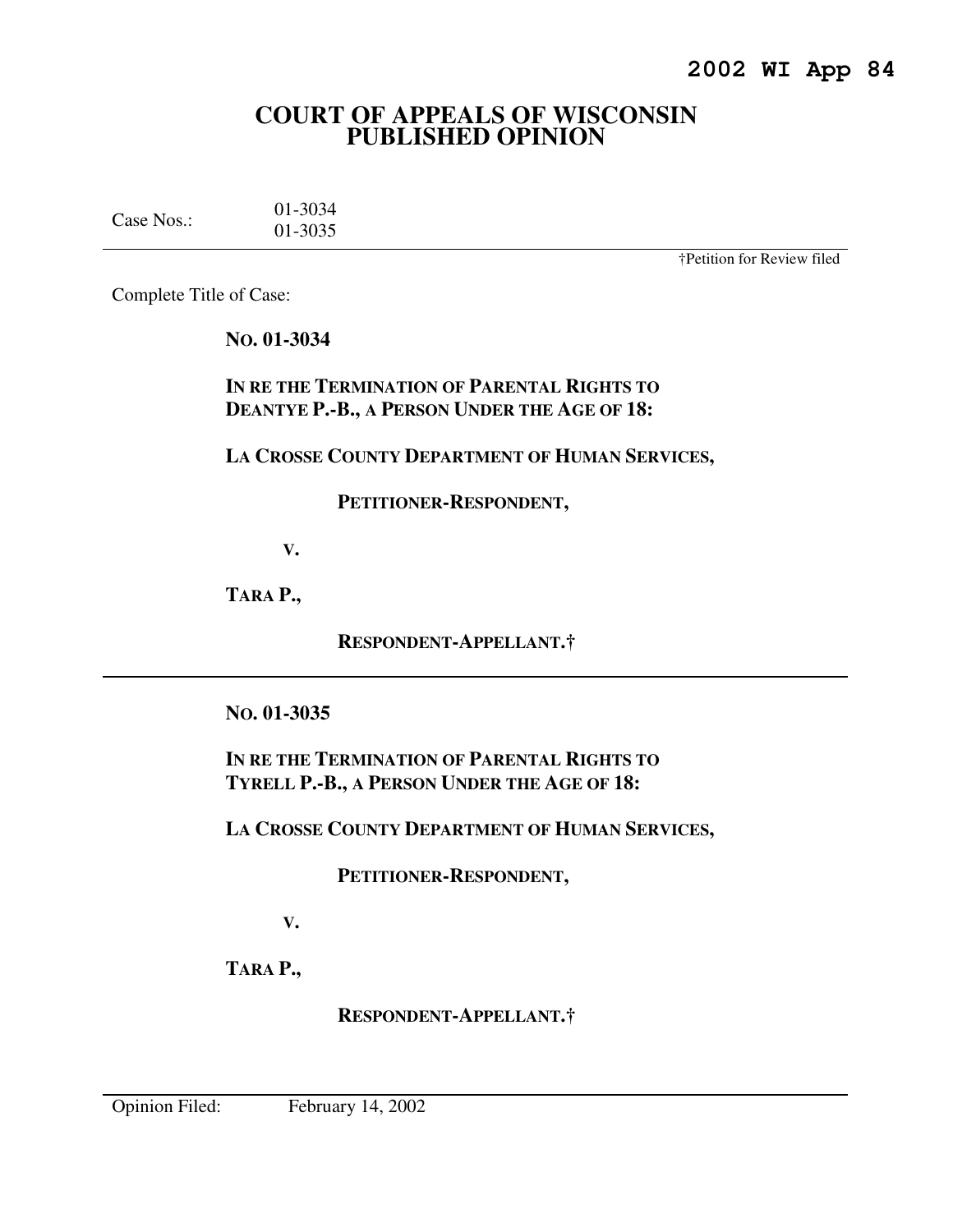# **COURT OF APPEALS OF WISCONSIN PUBLISHED OPINION**

| Case Nos.: | 01-3034 |
|------------|---------|
|            | 01-3035 |

†Petition for Review filed

Complete Title of Case:

# **NO. 01-3034**

**IN RE THE TERMINATION OF PARENTAL RIGHTS TO DEANTYE P.-B., A PERSON UNDER THE AGE OF 18:** 

# **LA CROSSE COUNTY DEPARTMENT OF HUMAN SERVICES,**

## **PETITIONER-RESPONDENT,**

 **V.** 

**TARA P.,** 

 **RESPONDENT-APPELLANT.†** 

# **NO. 01-3035**

**IN RE THE TERMINATION OF PARENTAL RIGHTS TO TYRELL P.-B., A PERSON UNDER THE AGE OF 18:** 

**LA CROSSE COUNTY DEPARTMENT OF HUMAN SERVICES,** 

# **PETITIONER-RESPONDENT,**

 **V.** 

**TARA P.,** 

 **RESPONDENT-APPELLANT.†**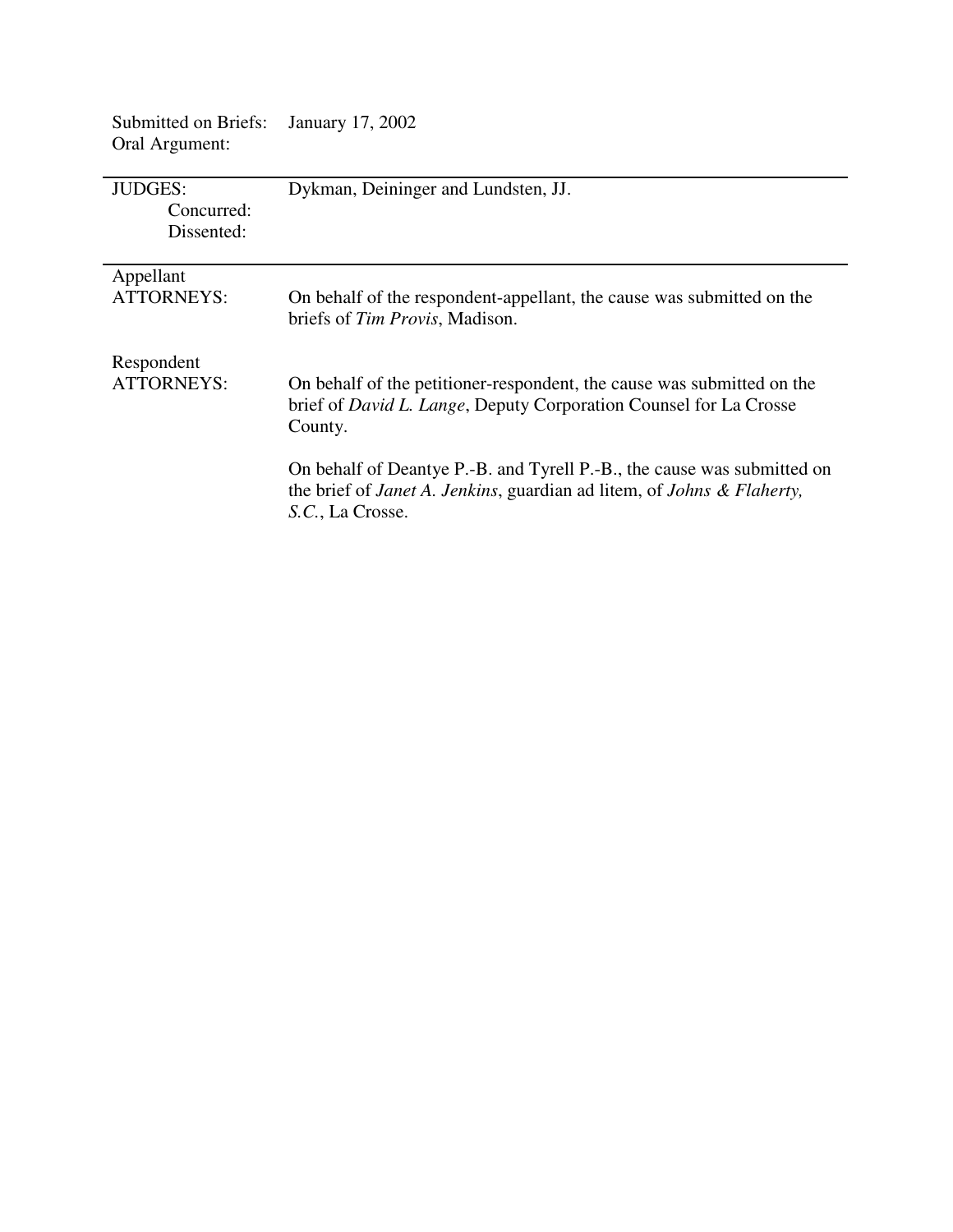| Oral Argument:                             |                                                                                                                                                                                                                                                                                                                                                             |
|--------------------------------------------|-------------------------------------------------------------------------------------------------------------------------------------------------------------------------------------------------------------------------------------------------------------------------------------------------------------------------------------------------------------|
| <b>JUDGES:</b><br>Concurred:<br>Dissented: | Dykman, Deininger and Lundsten, JJ.                                                                                                                                                                                                                                                                                                                         |
| Appellant<br><b>ATTORNEYS:</b>             | On behalf of the respondent-appellant, the cause was submitted on the<br>briefs of Tim Provis, Madison.                                                                                                                                                                                                                                                     |
| Respondent<br>ATTORNEYS:                   | On behalf of the petitioner-respondent, the cause was submitted on the<br>brief of <i>David L. Lange</i> , Deputy Corporation Counsel for La Crosse<br>County.<br>On behalf of Deantye P.-B. and Tyrell P.-B., the cause was submitted on<br>the brief of <i>Janet A. Jenkins</i> , guardian ad litem, of <i>Johns &amp; Flaherty</i> ,<br>S.C., La Crosse. |

Submitted on Briefs: January 17, 2002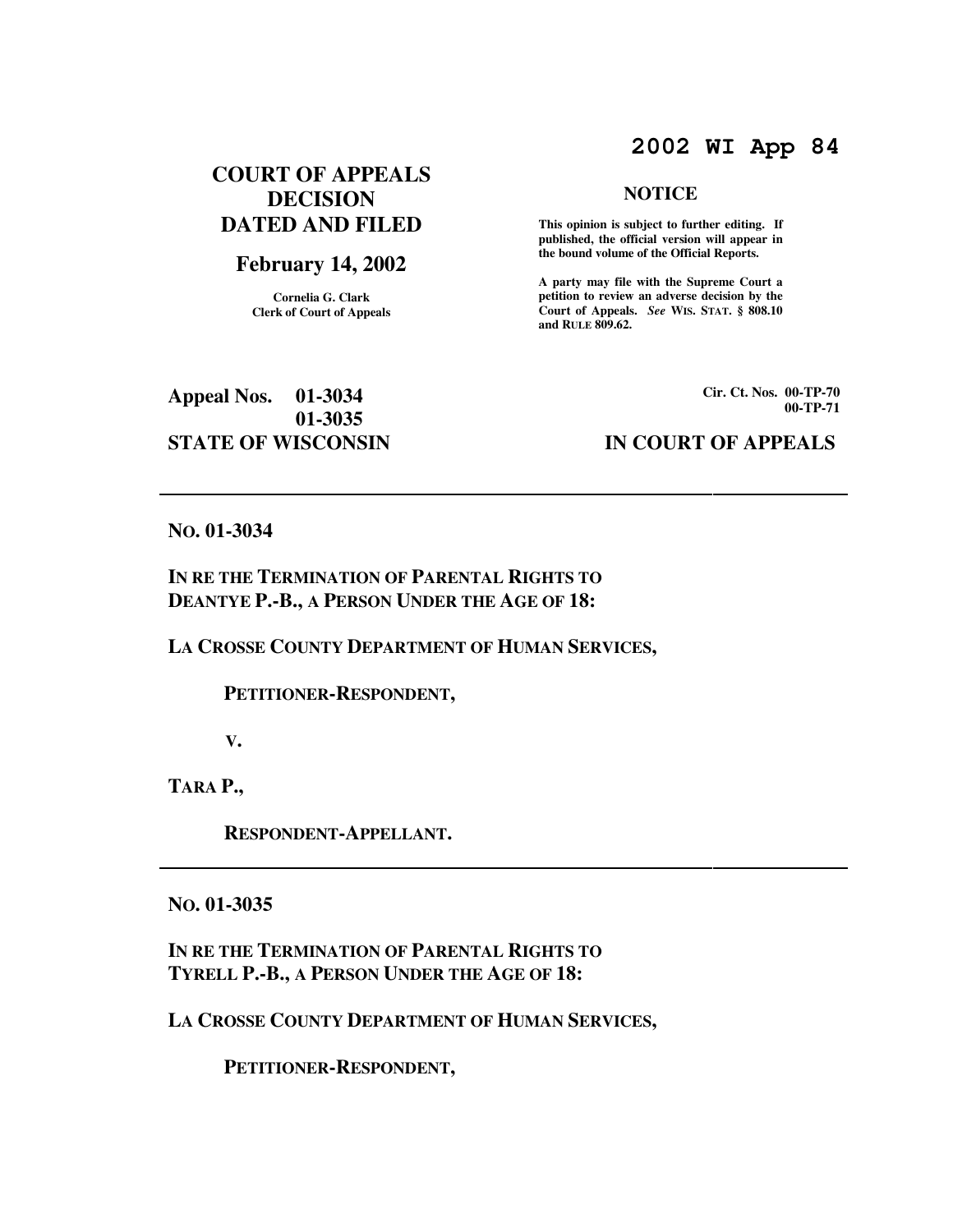# **2002 WI App 84**

# **COURT OF APPEALS DECISION DATED AND FILED**

## **February 14, 2002**

**Cornelia G. Clark Clerk of Court of Appeals**

#### **NOTICE**

 **This opinion is subject to further editing. If published, the official version will appear in the bound volume of the Official Reports.** 

**A party may file with the Supreme Court a petition to review an adverse decision by the Court of Appeals.** *See* **WIS. STAT. § 808.10 and RULE 809.62.** 

**Appeal Nos. 01-3034 01-3035 STATE OF WISCONSIN IN COURT OF APPEALS** 

**Cir. Ct. Nos. 00-TP-70 00-TP-71**

#### **NO. 01-3034**

## **IN RE THE TERMINATION OF PARENTAL RIGHTS TO DEANTYE P.-B., A PERSON UNDER THE AGE OF 18:**

### **LA CROSSE COUNTY DEPARTMENT OF HUMAN SERVICES,**

### **PETITIONER-RESPONDENT,**

 **V.** 

**TARA P.,** 

 **RESPONDENT-APPELLANT.** 

**NO. 01-3035** 

**IN RE THE TERMINATION OF PARENTAL RIGHTS TO TYRELL P.-B., A PERSON UNDER THE AGE OF 18:** 

**LA CROSSE COUNTY DEPARTMENT OF HUMAN SERVICES,** 

 **PETITIONER-RESPONDENT,**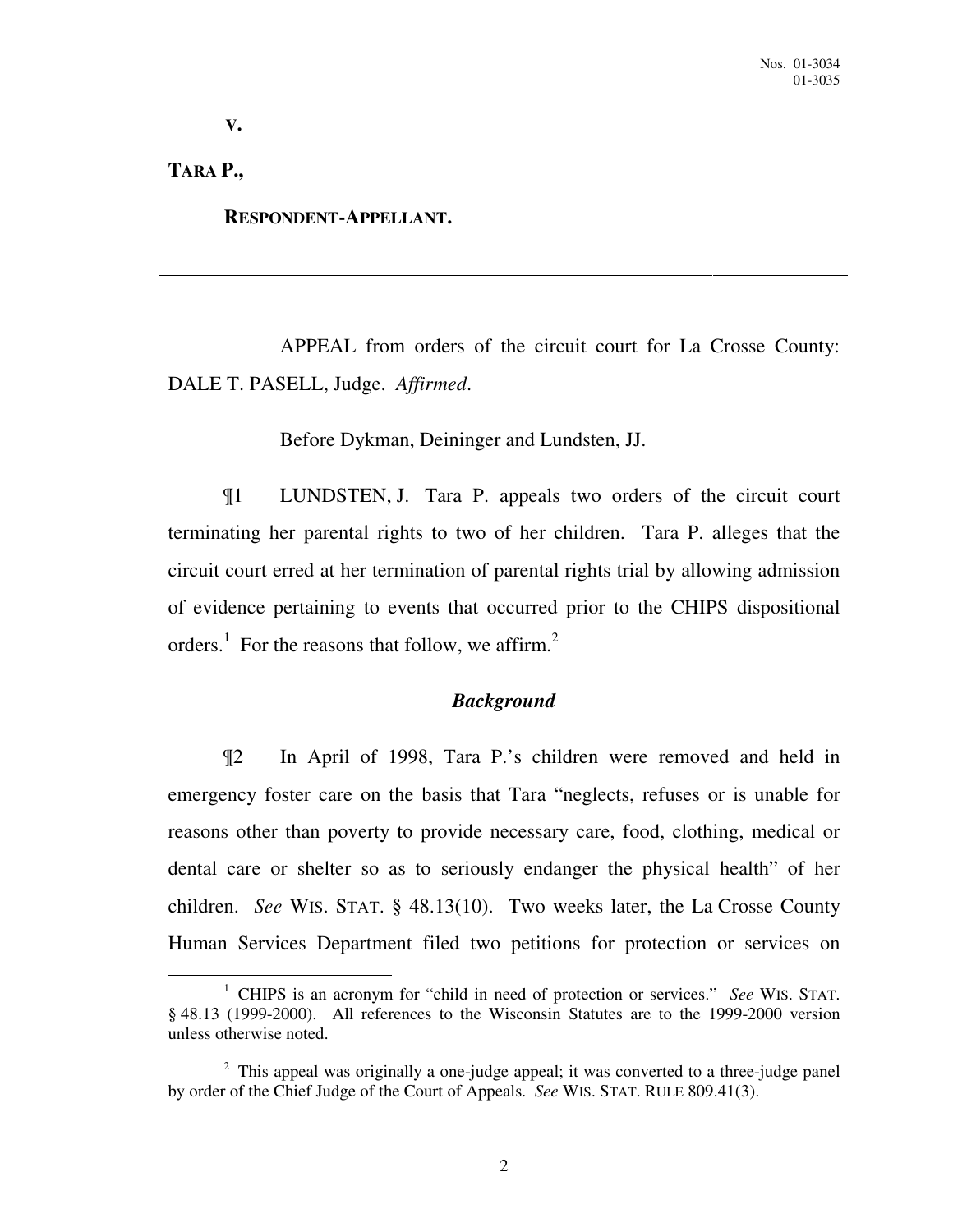**V.** 

## **TARA P.,**

 $\overline{a}$ 

 **RESPONDENT-APPELLANT.** 

 APPEAL from orders of the circuit court for La Crosse County: DALE T. PASELL, Judge. *Affirmed*.

Before Dykman, Deininger and Lundsten, JJ.

¶1 LUNDSTEN, J. Tara P. appeals two orders of the circuit court terminating her parental rights to two of her children. Tara P. alleges that the circuit court erred at her termination of parental rights trial by allowing admission of evidence pertaining to events that occurred prior to the CHIPS dispositional orders.<sup>1</sup> For the reasons that follow, we affirm.<sup>2</sup>

## *Background*

¶2 In April of 1998, Tara P.'s children were removed and held in emergency foster care on the basis that Tara "neglects, refuses or is unable for reasons other than poverty to provide necessary care, food, clothing, medical or dental care or shelter so as to seriously endanger the physical health" of her children. *See* WIS. STAT. § 48.13(10). Two weeks later, the La Crosse County Human Services Department filed two petitions for protection or services on

<sup>&</sup>lt;sup>1</sup> CHIPS is an acronym for "child in need of protection or services." *See* WIS. STAT. § 48.13 (1999-2000). All references to the Wisconsin Statutes are to the 1999-2000 version unless otherwise noted.

 $2$  This appeal was originally a one-judge appeal; it was converted to a three-judge panel by order of the Chief Judge of the Court of Appeals. *See* WIS. STAT. RULE 809.41(3).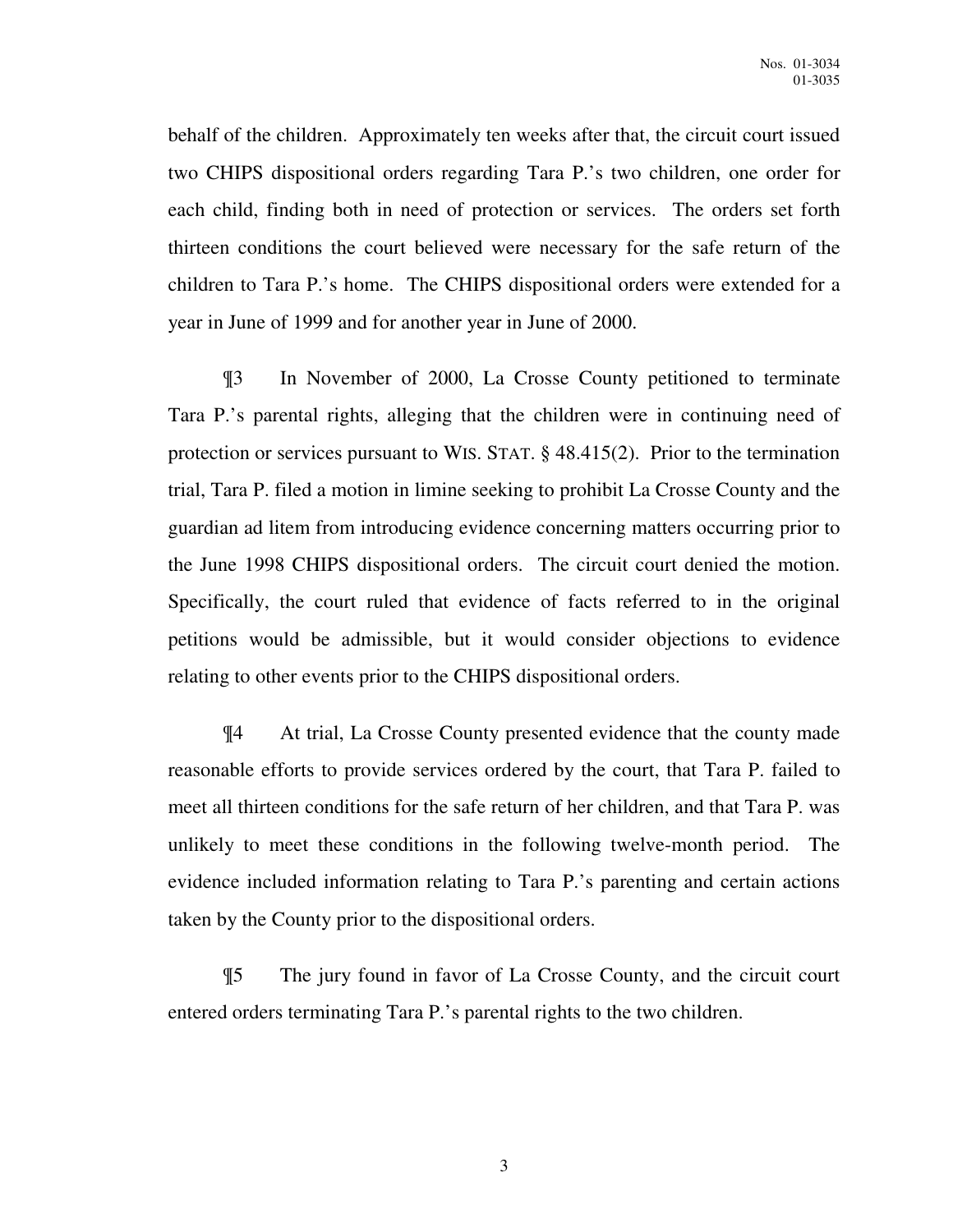behalf of the children. Approximately ten weeks after that, the circuit court issued two CHIPS dispositional orders regarding Tara P.'s two children, one order for each child, finding both in need of protection or services. The orders set forth thirteen conditions the court believed were necessary for the safe return of the children to Tara P.'s home. The CHIPS dispositional orders were extended for a year in June of 1999 and for another year in June of 2000.

¶3 In November of 2000, La Crosse County petitioned to terminate Tara P.'s parental rights, alleging that the children were in continuing need of protection or services pursuant to WIS. STAT. § 48.415(2). Prior to the termination trial, Tara P. filed a motion in limine seeking to prohibit La Crosse County and the guardian ad litem from introducing evidence concerning matters occurring prior to the June 1998 CHIPS dispositional orders. The circuit court denied the motion. Specifically, the court ruled that evidence of facts referred to in the original petitions would be admissible, but it would consider objections to evidence relating to other events prior to the CHIPS dispositional orders.

¶4 At trial, La Crosse County presented evidence that the county made reasonable efforts to provide services ordered by the court, that Tara P. failed to meet all thirteen conditions for the safe return of her children, and that Tara P. was unlikely to meet these conditions in the following twelve-month period. The evidence included information relating to Tara P.'s parenting and certain actions taken by the County prior to the dispositional orders.

¶5 The jury found in favor of La Crosse County, and the circuit court entered orders terminating Tara P.'s parental rights to the two children.

3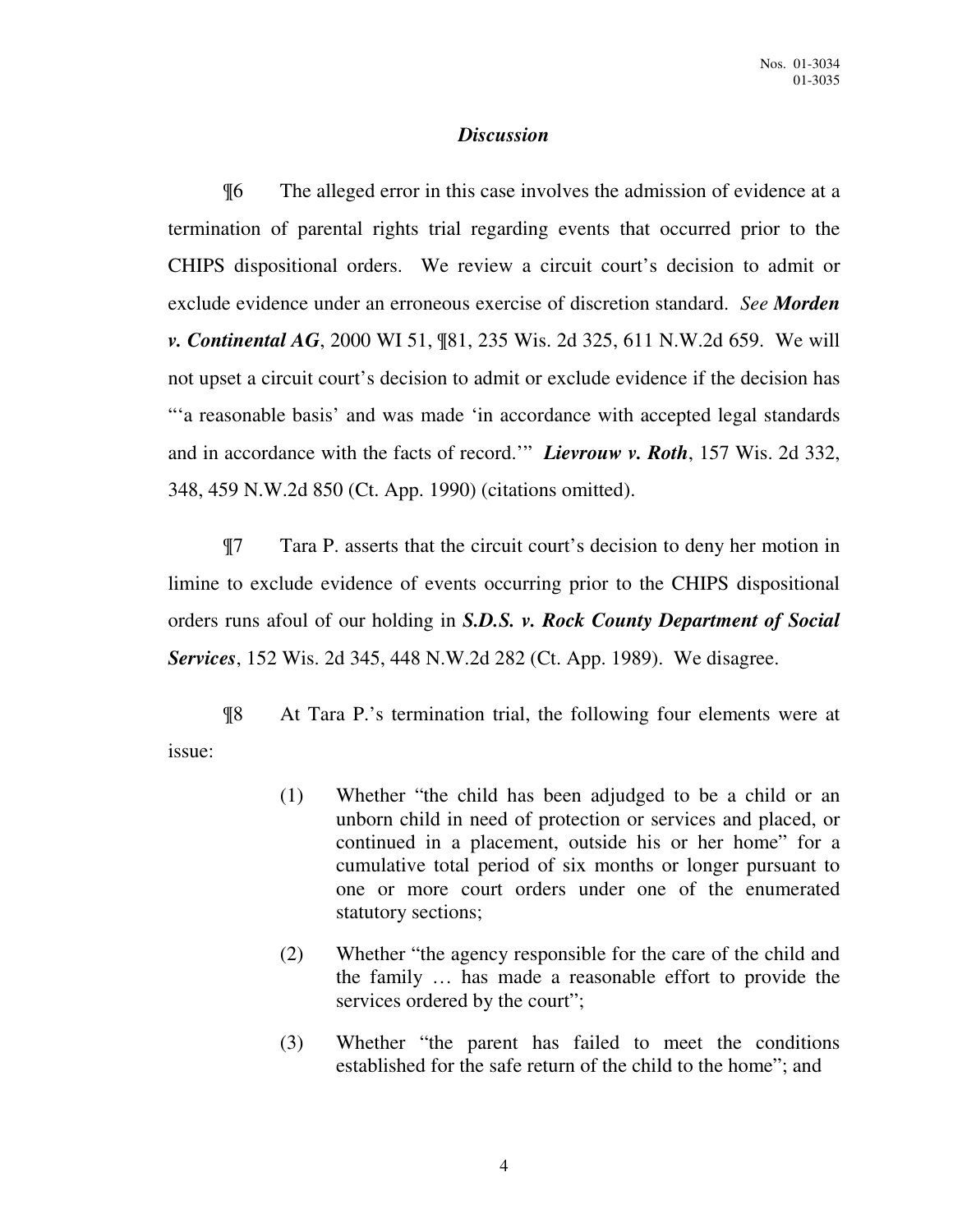## *Discussion*

¶6 The alleged error in this case involves the admission of evidence at a termination of parental rights trial regarding events that occurred prior to the CHIPS dispositional orders. We review a circuit court's decision to admit or exclude evidence under an erroneous exercise of discretion standard. *See Morden v. Continental AG*, 2000 WI 51, ¶81, 235 Wis. 2d 325, 611 N.W.2d 659. We will not upset a circuit court's decision to admit or exclude evidence if the decision has "'a reasonable basis' and was made 'in accordance with accepted legal standards and in accordance with the facts of record.'" *Lievrouw v. Roth*, 157 Wis. 2d 332, 348, 459 N.W.2d 850 (Ct. App. 1990) (citations omitted).

¶7 Tara P. asserts that the circuit court's decision to deny her motion in limine to exclude evidence of events occurring prior to the CHIPS dispositional orders runs afoul of our holding in *S.D.S. v. Rock County Department of Social Services*, 152 Wis. 2d 345, 448 N.W.2d 282 (Ct. App. 1989). We disagree.

¶8 At Tara P.'s termination trial, the following four elements were at issue:

- (1) Whether "the child has been adjudged to be a child or an unborn child in need of protection or services and placed, or continued in a placement, outside his or her home" for a cumulative total period of six months or longer pursuant to one or more court orders under one of the enumerated statutory sections;
- (2) Whether "the agency responsible for the care of the child and the family … has made a reasonable effort to provide the services ordered by the court";
- (3) Whether "the parent has failed to meet the conditions established for the safe return of the child to the home"; and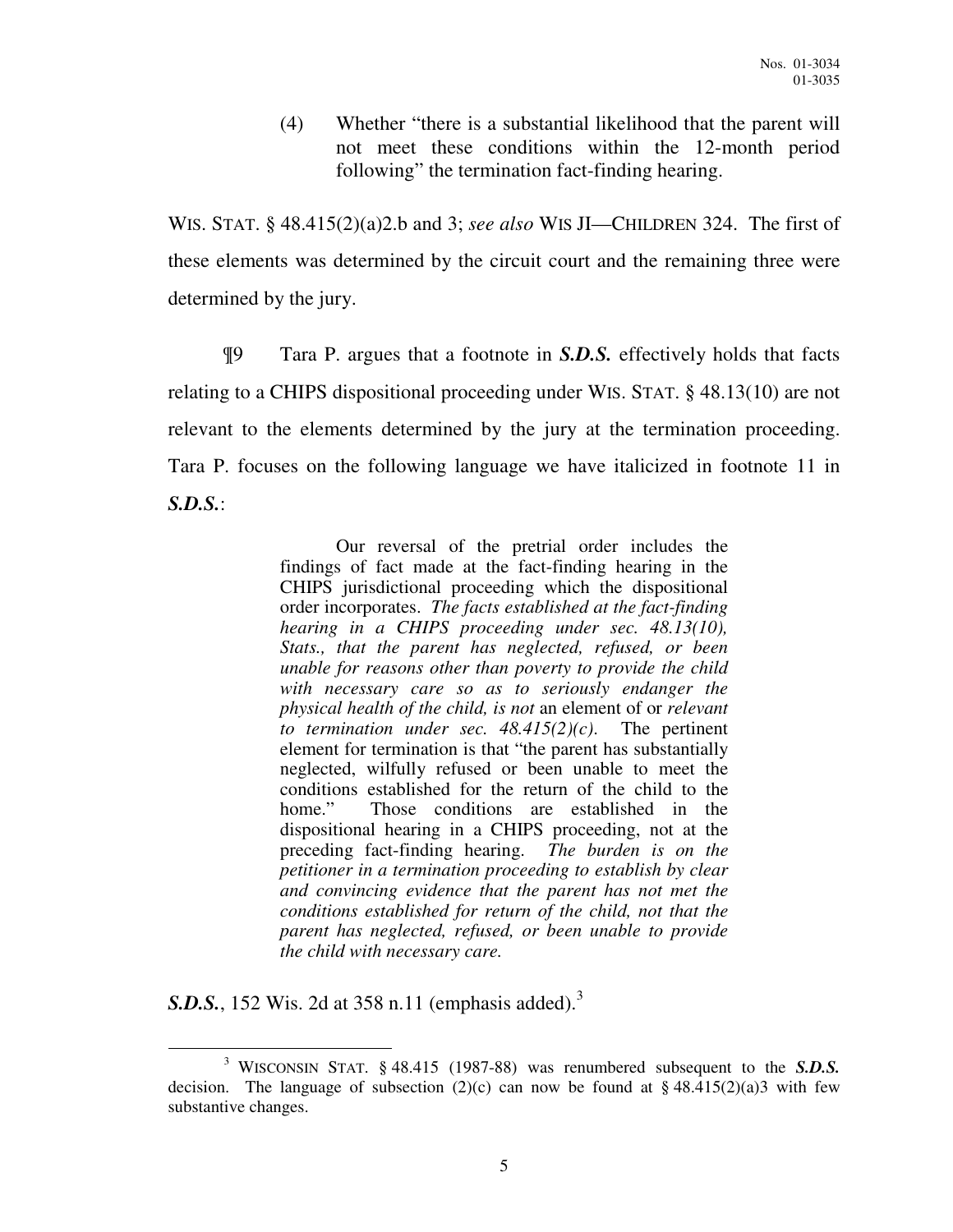(4) Whether "there is a substantial likelihood that the parent will not meet these conditions within the 12-month period following" the termination fact-finding hearing.

WIS. STAT. § 48.415(2)(a)2.b and 3; *see also* WIS JI—CHILDREN 324. The first of these elements was determined by the circuit court and the remaining three were determined by the jury.

¶9 Tara P. argues that a footnote in *S.D.S.* effectively holds that facts relating to a CHIPS dispositional proceeding under WIS. STAT. § 48.13(10) are not relevant to the elements determined by the jury at the termination proceeding. Tara P. focuses on the following language we have italicized in footnote 11 in *S.D.S.*:

> Our reversal of the pretrial order includes the findings of fact made at the fact-finding hearing in the CHIPS jurisdictional proceeding which the dispositional order incorporates. *The facts established at the fact-finding hearing in a CHIPS proceeding under sec. 48.13(10), Stats., that the parent has neglected, refused, or been unable for reasons other than poverty to provide the child with necessary care so as to seriously endanger the physical health of the child, is not* an element of or *relevant to termination under sec. 48.415(2)(c)*. The pertinent element for termination is that "the parent has substantially neglected, wilfully refused or been unable to meet the conditions established for the return of the child to the home." Those conditions are established in the dispositional hearing in a CHIPS proceeding, not at the preceding fact-finding hearing. *The burden is on the petitioner in a termination proceeding to establish by clear and convincing evidence that the parent has not met the conditions established for return of the child, not that the parent has neglected, refused, or been unable to provide the child with necessary care.*

**S.D.S.**, 152 Wis. 2d at 358 n.11 (emphasis added).<sup>3</sup>

 $\overline{a}$ 3 WISCONSIN STAT. § 48.415 (1987-88) was renumbered subsequent to the *S.D.S.* decision. The language of subsection (2)(c) can now be found at  $\S$  48.415(2)(a)3 with few substantive changes.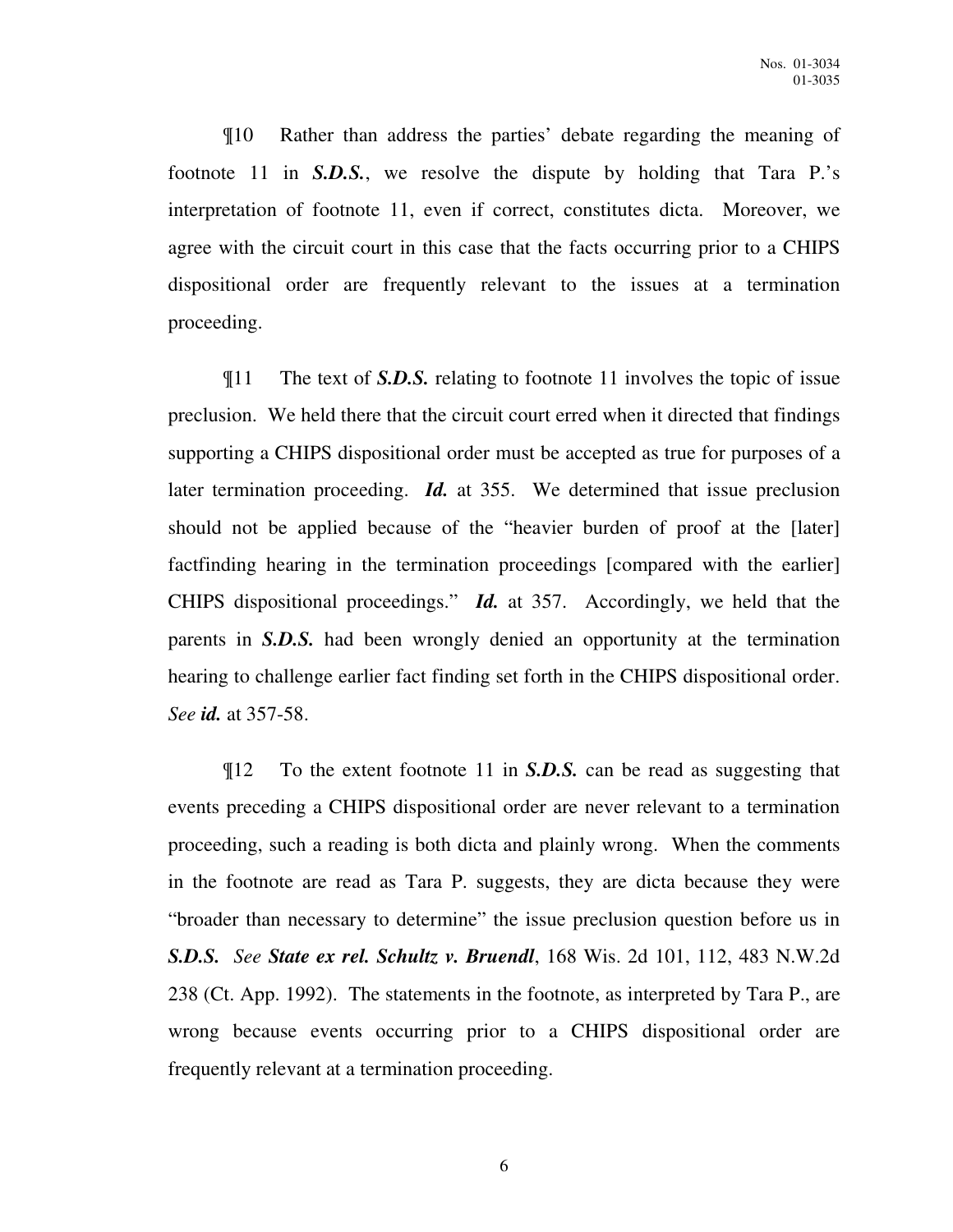¶10 Rather than address the parties' debate regarding the meaning of footnote 11 in *S.D.S.*, we resolve the dispute by holding that Tara P.'s interpretation of footnote 11, even if correct, constitutes dicta. Moreover, we agree with the circuit court in this case that the facts occurring prior to a CHIPS dispositional order are frequently relevant to the issues at a termination proceeding.

¶11 The text of *S.D.S.* relating to footnote 11 involves the topic of issue preclusion. We held there that the circuit court erred when it directed that findings supporting a CHIPS dispositional order must be accepted as true for purposes of a later termination proceeding. *Id.* at 355. We determined that issue preclusion should not be applied because of the "heavier burden of proof at the [later] factfinding hearing in the termination proceedings [compared with the earlier] CHIPS dispositional proceedings." *Id.* at 357. Accordingly, we held that the parents in *S.D.S.* had been wrongly denied an opportunity at the termination hearing to challenge earlier fact finding set forth in the CHIPS dispositional order. *See id.* at 357-58.

¶12 To the extent footnote 11 in *S.D.S.* can be read as suggesting that events preceding a CHIPS dispositional order are never relevant to a termination proceeding, such a reading is both dicta and plainly wrong. When the comments in the footnote are read as Tara P. suggests, they are dicta because they were "broader than necessary to determine" the issue preclusion question before us in *S.D.S. See State ex rel. Schultz v. Bruendl*, 168 Wis. 2d 101, 112, 483 N.W.2d 238 (Ct. App. 1992). The statements in the footnote, as interpreted by Tara P., are wrong because events occurring prior to a CHIPS dispositional order are frequently relevant at a termination proceeding.

6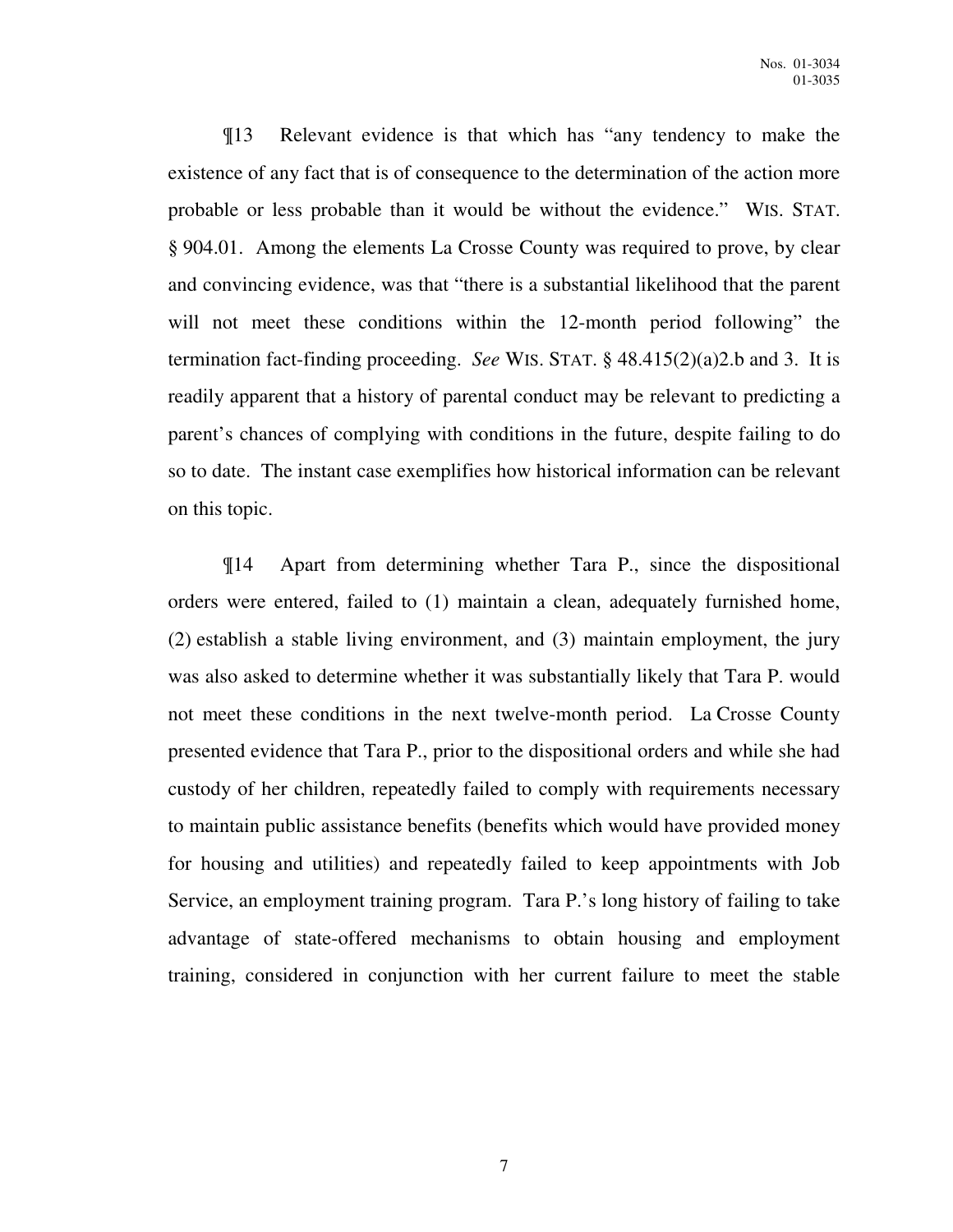¶13 Relevant evidence is that which has "any tendency to make the existence of any fact that is of consequence to the determination of the action more probable or less probable than it would be without the evidence." WIS. STAT. § 904.01. Among the elements La Crosse County was required to prove, by clear and convincing evidence, was that "there is a substantial likelihood that the parent will not meet these conditions within the 12-month period following" the termination fact-finding proceeding. *See* WIS. STAT. § 48.415(2)(a)2.b and 3. It is readily apparent that a history of parental conduct may be relevant to predicting a parent's chances of complying with conditions in the future, despite failing to do so to date. The instant case exemplifies how historical information can be relevant on this topic.

¶14 Apart from determining whether Tara P., since the dispositional orders were entered, failed to (1) maintain a clean, adequately furnished home, (2) establish a stable living environment, and (3) maintain employment, the jury was also asked to determine whether it was substantially likely that Tara P. would not meet these conditions in the next twelve-month period. La Crosse County presented evidence that Tara P., prior to the dispositional orders and while she had custody of her children, repeatedly failed to comply with requirements necessary to maintain public assistance benefits (benefits which would have provided money for housing and utilities) and repeatedly failed to keep appointments with Job Service, an employment training program. Tara P.'s long history of failing to take advantage of state-offered mechanisms to obtain housing and employment training, considered in conjunction with her current failure to meet the stable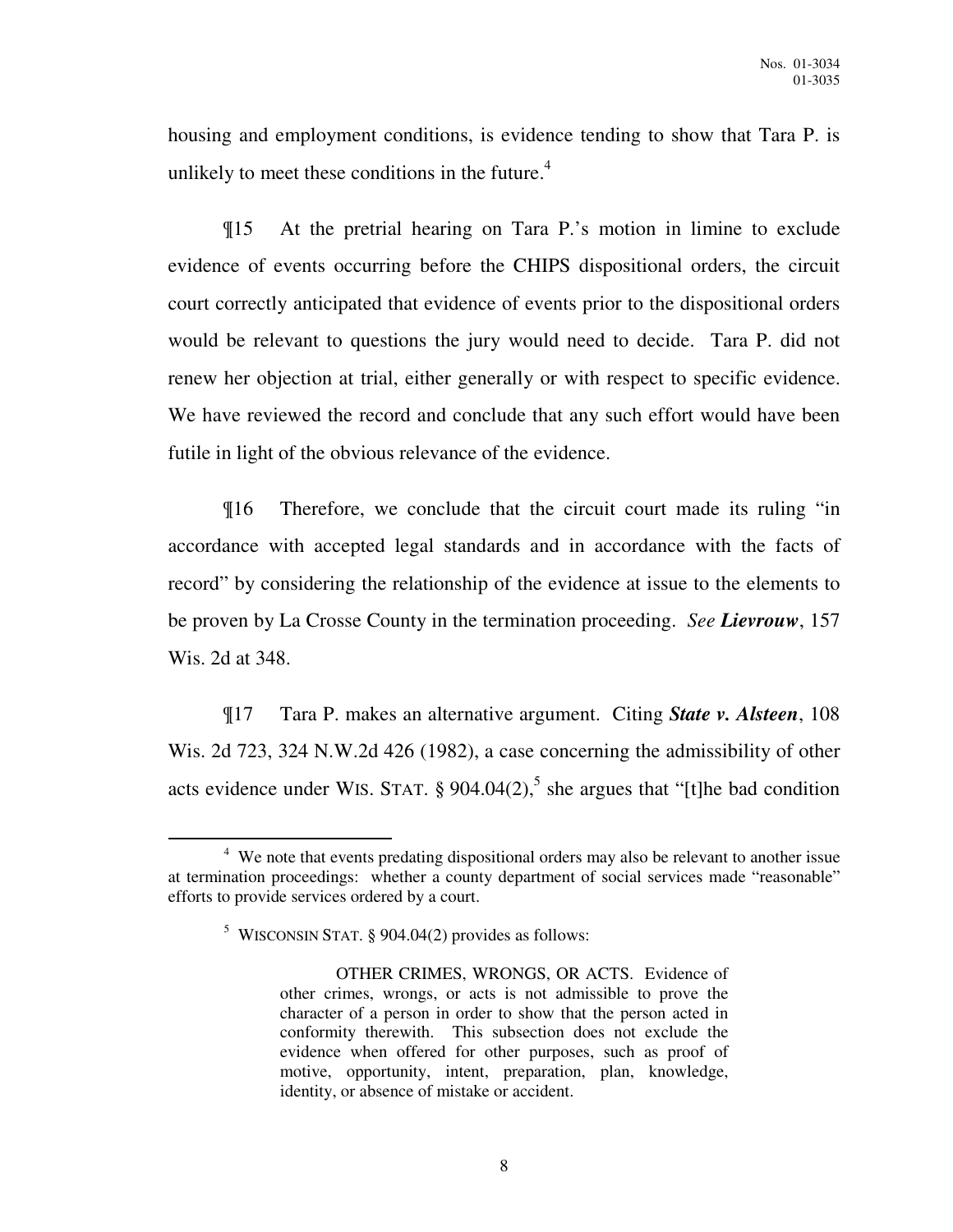housing and employment conditions, is evidence tending to show that Tara P. is unlikely to meet these conditions in the future. $4$ 

¶15 At the pretrial hearing on Tara P.'s motion in limine to exclude evidence of events occurring before the CHIPS dispositional orders, the circuit court correctly anticipated that evidence of events prior to the dispositional orders would be relevant to questions the jury would need to decide. Tara P. did not renew her objection at trial, either generally or with respect to specific evidence. We have reviewed the record and conclude that any such effort would have been futile in light of the obvious relevance of the evidence.

¶16 Therefore, we conclude that the circuit court made its ruling "in accordance with accepted legal standards and in accordance with the facts of record" by considering the relationship of the evidence at issue to the elements to be proven by La Crosse County in the termination proceeding. *See Lievrouw*, 157 Wis. 2d at 348.

¶17 Tara P. makes an alternative argument. Citing *State v. Alsteen*, 108 Wis. 2d 723, 324 N.W.2d 426 (1982), a case concerning the admissibility of other acts evidence under WIS. STAT.  $\S$  904.04(2),<sup>5</sup> she argues that "[t]he bad condition

 $\overline{a}$ 

<sup>&</sup>lt;sup>4</sup> We note that events predating dispositional orders may also be relevant to another issue at termination proceedings: whether a county department of social services made "reasonable" efforts to provide services ordered by a court.

<sup>&</sup>lt;sup>5</sup> WISCONSIN STAT. § 904.04(2) provides as follows:

OTHER CRIMES, WRONGS, OR ACTS. Evidence of other crimes, wrongs, or acts is not admissible to prove the character of a person in order to show that the person acted in conformity therewith. This subsection does not exclude the evidence when offered for other purposes, such as proof of motive, opportunity, intent, preparation, plan, knowledge, identity, or absence of mistake or accident.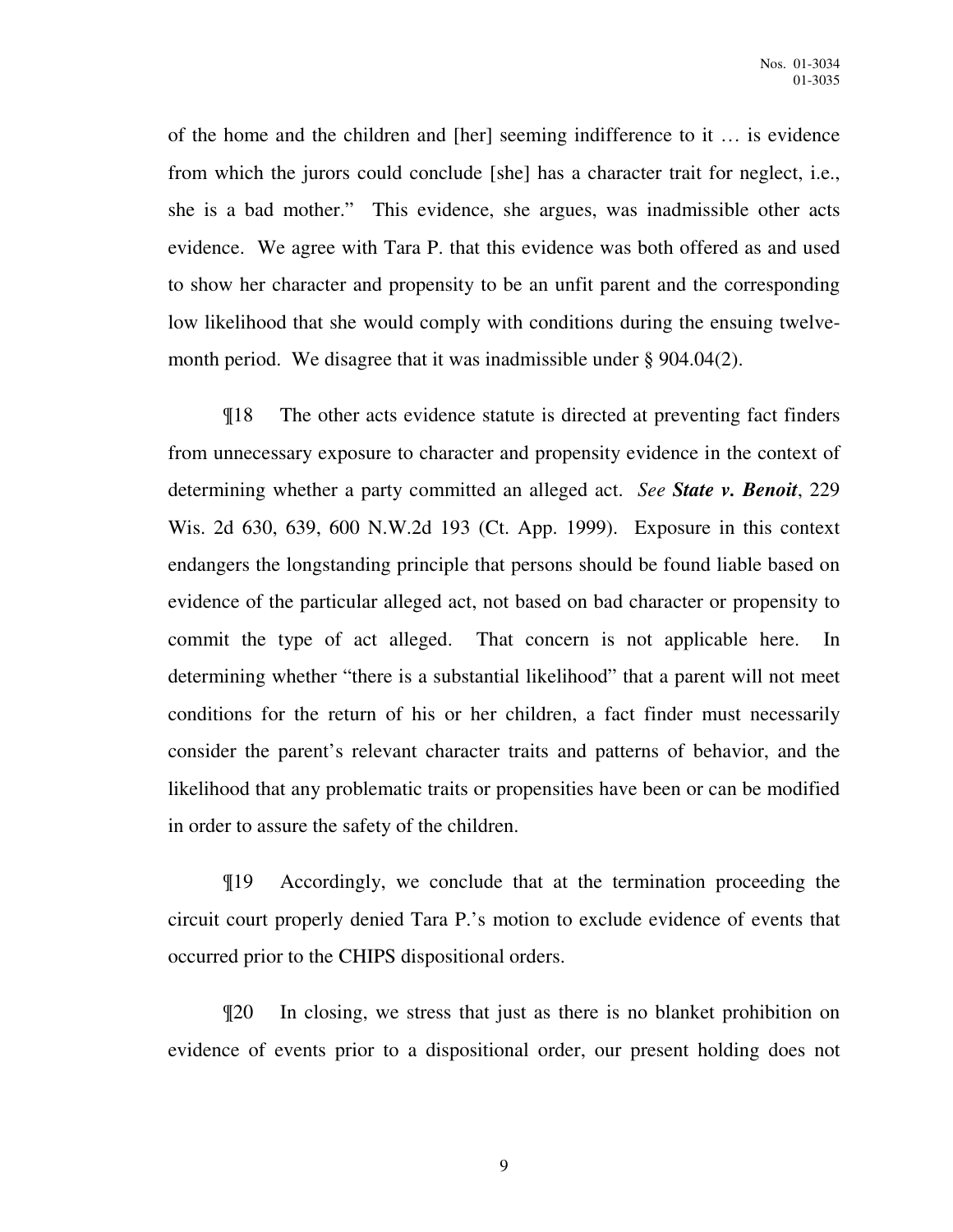of the home and the children and [her] seeming indifference to it … is evidence from which the jurors could conclude [she] has a character trait for neglect, i.e., she is a bad mother." This evidence, she argues, was inadmissible other acts evidence. We agree with Tara P. that this evidence was both offered as and used to show her character and propensity to be an unfit parent and the corresponding low likelihood that she would comply with conditions during the ensuing twelvemonth period. We disagree that it was inadmissible under § 904.04(2).

¶18 The other acts evidence statute is directed at preventing fact finders from unnecessary exposure to character and propensity evidence in the context of determining whether a party committed an alleged act. *See State v. Benoit*, 229 Wis. 2d 630, 639, 600 N.W.2d 193 (Ct. App. 1999). Exposure in this context endangers the longstanding principle that persons should be found liable based on evidence of the particular alleged act, not based on bad character or propensity to commit the type of act alleged. That concern is not applicable here. In determining whether "there is a substantial likelihood" that a parent will not meet conditions for the return of his or her children, a fact finder must necessarily consider the parent's relevant character traits and patterns of behavior, and the likelihood that any problematic traits or propensities have been or can be modified in order to assure the safety of the children.

¶19 Accordingly, we conclude that at the termination proceeding the circuit court properly denied Tara P.'s motion to exclude evidence of events that occurred prior to the CHIPS dispositional orders.

¶20 In closing, we stress that just as there is no blanket prohibition on evidence of events prior to a dispositional order, our present holding does not

9